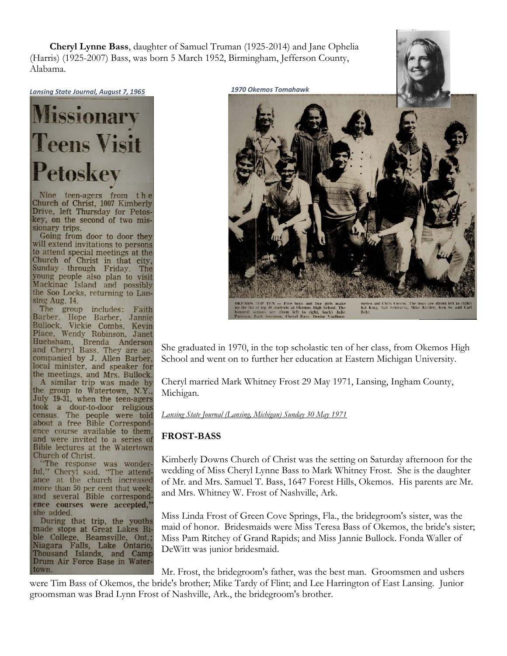**Cheryl Lynne Bass**, daughter of Samuel Truman (1925-2014) and Jane Ophelia (Harris) (1925-2007) Bass, was born 5 March 1952, Birmingham, Jefferson County, Alabama.



Nine teen-agers from the Church of Christ, 1007 Kimberly Drive, left Thursday for Petoskey, on the second of two missionary trips.

Going from door to door they will extend invitations to persons to attend special meetings at the Church of Christ in that city, Sunday through Friday. The young people also plan to visit Mackinac Island and possibly the Soo Locks, returning to Lansing Aug. 14.

The group includes: Faith Barber, Hope Barber, Jannie Bullock, Vickie Combs, Kevin Place, Wendy Robinson, Janet Huebsham, Brenda Anderson and Cheryl Bass. They are ac-<br>companied by J. Allen Barber, local minister, and speaker for the meetings, and Mrs. Bullock. A similar trip was made by the group to Watertown, N.Y., July 19-31, when the teen-agers took a door-to-door religious<br>census. The people were told about a free Bible Correspondence course available to them, and were invited to a series of Bible lectures at the Watertown Church of Christ.

"The response was wonder-<br>ful," Cheryl said. "The attendance at the church increased more than 50 per cent that week, and several Bible correspondence courses were accepted," she added.

During that trip, the youths made stops at Great Lakes Bible College, Beamsville, Ont.; Niagara Falls, Lake Ontario, Thousand Islands, and Camp Drum Air Force Base in Watertown.



She graduated in 1970, in the top scholastic ten of her class, from Okemos High School and went on to further her education at Eastern Michigan University.

Cheryl married Mark Whitney Frost 29 May 1971, Lansing, Ingham County, Michigan.

*Lansing State Journal (Lansing, Michigan) Sunday 30 May 1971*

## **FROST-BASS**

Kimberly Downs Church of Christ was the setting on Saturday afternoon for the wedding of Miss Cheryl Lynne Bass to Mark Whitney Frost. She is the daughter of Mr. and Mrs. Samuel T. Bass, 1647 Forest Hills, Okemos. His parents are Mr. and Mrs. Whitney W. Frost of Nashville, Ark.

Miss Linda Frost of Green Cove Springs, Fla., the bridegroom's sister, was the maid of honor. Bridesmaids were Miss Teresa Bass of Okemos, the bride's sister; Miss Pam Ritchey of Grand Rapids; and Miss Jannie Bullock. Fonda Waller of DeWitt was junior bridesmaid.

Mr. Frost, the bridegroom's father, was the best man. Groomsmen and ushers were Tim Bass of Okemos, the bride's brother; Mike Tardy of Flint; and Lee Harrington of East Lansing. Junior groomsman was Brad Lynn Frost of Nashville, Ark., the bridegroom's brother.